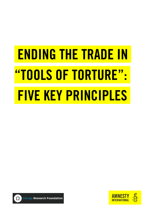# ENDING THE TRADE IN "TOOLS OF TORTURE": FIVE KEY PRINCIPLES



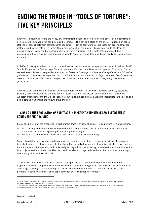## ENDING THE TRADE IN "TOOLS OF TORTURE": FIVE KEY PRINCIPLES

Every year in countries around the world, law enforcement officials subject detainees to torture and other forms of ill-treatment using a variety of equipment and techniques. This can take place on the streets, in transit, in police stations, prisons or detention centres. Some equipment - such as body worn electric shock devices, weighted leg restraints and spiked batons - is inherently abusive, while other equipment, like ordinary handcuffs, tear gas, pepper spray or Tasers, can have a legitimate role in law enforcement, but is systematically abused. Law enforcement officials also use techniques such as waterboarding, strangulation holds and hog-tying to commit acts of torture.

In 2004, following a study of the production and trade of law enforcement equipment and restraint devices, the UN Special Rapporteur on Torture urged States to introduce effective controls on such equipment. The United Nations General Assembly has subsequently called upon all States to: "*take appropriate effective legislative, administrative, judicial and other measures to prevent and prohibit the production, trade, export, import and use of equipment that have no practical use other than for the purpose of torture or other cruel, inhuman or degrading treatment or punishment."* [1](#page-1-0)

Although every State has the obligation to combat torture and other ill-treatment, concrete action by States has generally been inadequate. To end this trade in "tools of torture" and prevent torture and other ill-treatment, Amnesty International and the Omega Research Foundation are calling on all States to incorporate in their legal and administrative frameworks the following five principles:

#### 1. A BAN ON THE PRODUCTION OF AND TRADE IN INHERENTLY INHUMANE LAW ENFORCEMENT EQUIPMENT AND TRAINING

States should prohibit the production, export, import, transit, or trans-shipment<sup>[2](#page-1-1)</sup> of equipment or related training:

- That has no practical use in law enforcement other than for the purpose of capital punishment, torture and other cruel, inhuman or degrading treatment or punishment; or
- Where its use in practice has revealed a substantial risk of unwarranted injury.

States should designate as prohibited law enforcement equipment such as: body-worn electric shock equipment (so-called stun belts); direct-contact electric shock devices; spiked batons and other spiked kinetic impact devices; thumb-screws and thumb-cuffs; neck cuffs; weighted leg or hand restraints; leg or hand restraints for attachment to fixed objects; restraint chairs, shackle-boards and shackle-beds; cage beds; and execution equipment such as gas chambers, gallows and electric chairs.

States must ban technical assistance such as: training in the use of prohibited equipment; training in the inappropriate use of equipment such as employment of batons for strangulation, neck-holds or use of restraints for "hog-tying"; training in torture techniques such as water-boarding, infliction of "white noise"; use of stress positions for sustained periods; and sleep deprivation and disorientation techniques.

l

<span id="page-1-0"></span><sup>&</sup>lt;sup>1</sup> See for example, United Nations, General Assembly, 66th Session, Third Committee, Torture and other cruel, inhuman or degrading treatment or punishment, A/C.3/66/L.28 Rev 1, 8th November 2011, paragraph 24.<br><sup>2</sup> For definitions of transit and transhipment, see UNODA, Arms Trade Treaty Toolkit, Module 8 Transit and Trans-shipment, available at: https://unoda-web.s3-

<span id="page-1-1"></span>accelerate.amazonaws.com/wp-content/uploads/2015/08/2015-08-21-Toolkit-Module-8.pdf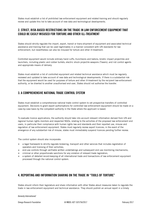States must establish a list of prohibited law enforcement equipment and related training and should regularly review and update this list to take account of new data and technological developments.

#### 2. STRICT, RISK-BASED RESTRICTIONS ON THE TRADE IN LAW ENFORCEMENT EQUIPMENT THAT COULD BE EASILY MISUSED FOR TORTURE AND OTHER ILL-TREATMENT

States should strictly regulate the import, export, transit or trans-shipment of equipment and associated technical assistance and training that can be used legitimately in a manner consistent with UN standards for law enforcement, but nevertheless can also be misused for torture and other ill-treatment.

Controlled equipment would include ordinary hand cuffs; truncheons and batons; kinetic impact projectiles and launchers, including plastic and rubber bullets; electric shock projectile weapons (Tasers); and riot control agents and appropriate means of delivery.

States must establish a list of controlled equipment and related technical assistance which must be regularly reviewed and updated to take account of new data and technological developments. If there is a substantial risk that the equipment would be used for purposes of torture and other ill-treatment by the recipient law-enforcement authority, or be diverted to another unauthorised end-user, States should not authorise the transfer.

#### 3. A COMPREHENSIVE NATIONAL TRADE CONTROL SYSTEM

States must establish a comprehensive national trade control system to vet prospective transfers of controlled equipment. Decisions to grant export authorisations for controlled law enforcement equipment should be made on a case-by-case basis by the competent authority in the State where the applicant is based.

To evaluate licence applications, the authority should take into account relevant information derived from UN and regional human rights monitors and respected NGOs, relating to the activities of the proposed law enforcement end users, in particular their compliance with human rights law and standards and their reported use, misuse and regulation of law enforcement equipment. States must regularly review export licences; in the event of the emergence of any substantial risk of misuse, states must immediately suspend licences pending further review.

The control system should also incorporate:

- a legal framework to strictly regulate brokering, transport and other services that includes registration of operators and licensing of their activities;
- end-use controls through verifiable written undertakings and subsequent end use monitoring mechanisms;
- **EXECRIPTION** criminal or other proportionate sanctions for any violation of relevant trade legislation;
- a system of detailed record-keeping of all international trade and transactions of law enforcement equipment processed through the national control system.

#### 4. REPORTING AND INFORMATION SHARING ON THE TRADE IN "TOOLS OF TORTURE"

States should inform their legislature and share information with other States about measures taken to regulate the trade in law enforcement equipment and technical assistance. They should publish an annual report in a timely

Amnesty International/

Omega Research Foundation **AI INDEX: ACT 10/5756/2017** February 2017